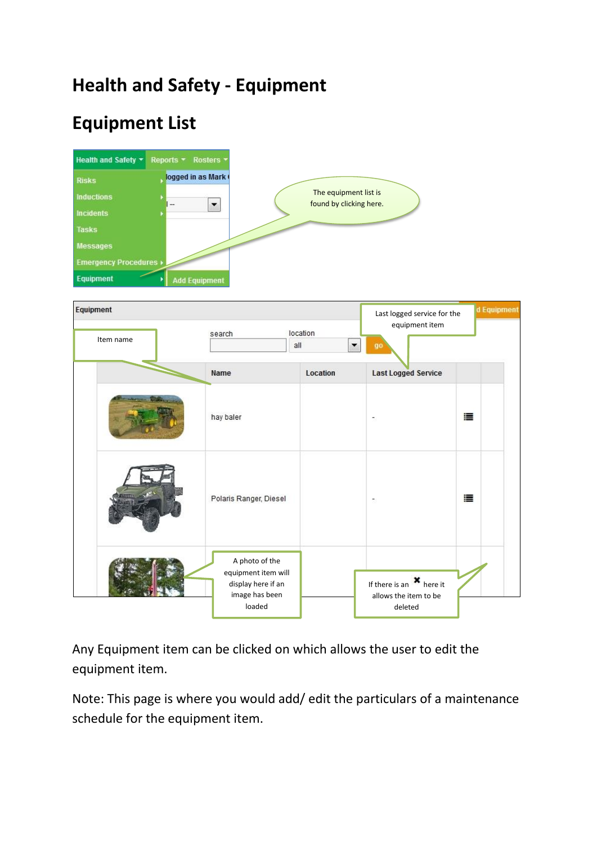## **Health and Safety - Equipment**

# **Equipment List**



| Equipment<br>Item name | search                                                                                  | location<br>all | Last logged service for the<br>equipment item<br>90<br>▼                       | d Equipment |
|------------------------|-----------------------------------------------------------------------------------------|-----------------|--------------------------------------------------------------------------------|-------------|
|                        | Name                                                                                    | Location        | <b>Last Logged Service</b>                                                     |             |
|                        | hay baler                                                                               |                 |                                                                                | 澶           |
|                        | Polaris Ranger, Diesel                                                                  |                 | $\overline{\mathbb{R}}^3$                                                      | 這           |
|                        | A photo of the<br>equipment item will<br>display here if an<br>image has been<br>loaded |                 | If there is an $\boldsymbol{\ast}$ here it<br>allows the item to be<br>deleted |             |

Any Equipment item can be clicked on which allows the user to edit the equipment item.

Note: This page is where you would add/ edit the particulars of a maintenance schedule for the equipment item.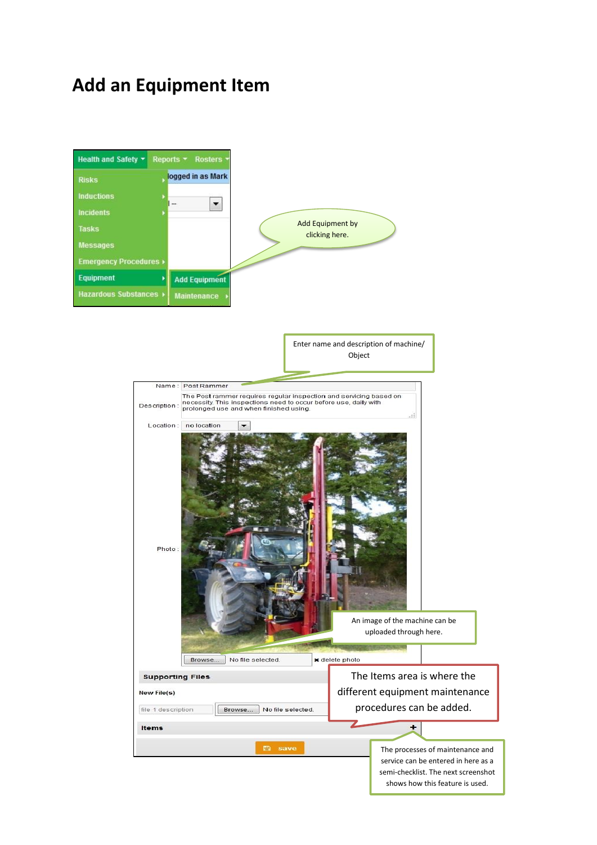### **Add an Equipment Item**

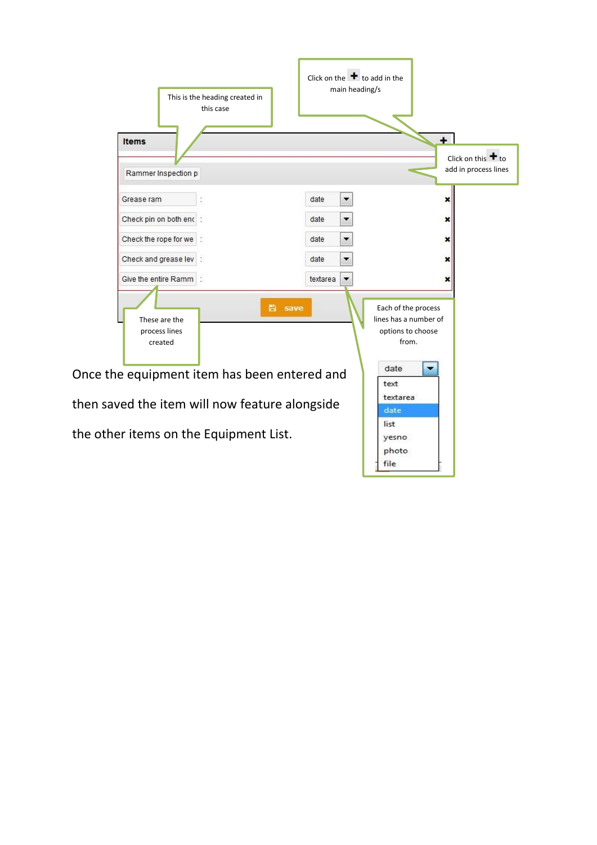| This is the heading created in<br>this case<br><b>Items</b>                                                                                                                           | Click on the $\bullet$ to add in the<br>main heading/s                                                                                                            | $\ddot{}$<br>Click on this $\bigstar$ to |
|---------------------------------------------------------------------------------------------------------------------------------------------------------------------------------------|-------------------------------------------------------------------------------------------------------------------------------------------------------------------|------------------------------------------|
| Rammer Inspection p                                                                                                                                                                   |                                                                                                                                                                   | add in process lines                     |
| Grease ram                                                                                                                                                                            | date<br>▼                                                                                                                                                         |                                          |
| Check pin on both end :                                                                                                                                                               | date<br>▼                                                                                                                                                         | ×                                        |
| Check the rope for we :                                                                                                                                                               | date                                                                                                                                                              | ×                                        |
| Check and grease lev :                                                                                                                                                                | date                                                                                                                                                              |                                          |
| Give the entire Ramm :                                                                                                                                                                | textarea                                                                                                                                                          |                                          |
| These are the<br>process lines<br>created<br>Once the equipment item has been entered and<br>then saved the item will now feature alongside<br>the other items on the Equipment List. | <b>曲</b> save<br>Each of the process<br>lines has a number of<br>options to choose<br>from.<br>date<br>text<br>textarea<br>date<br>list<br>yesno<br>photo<br>file |                                          |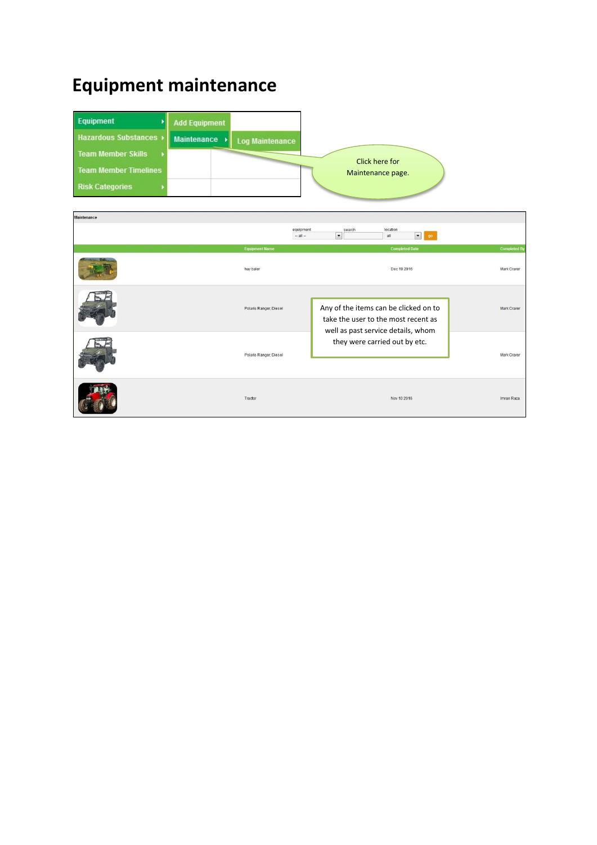### **Equipment maintenance**

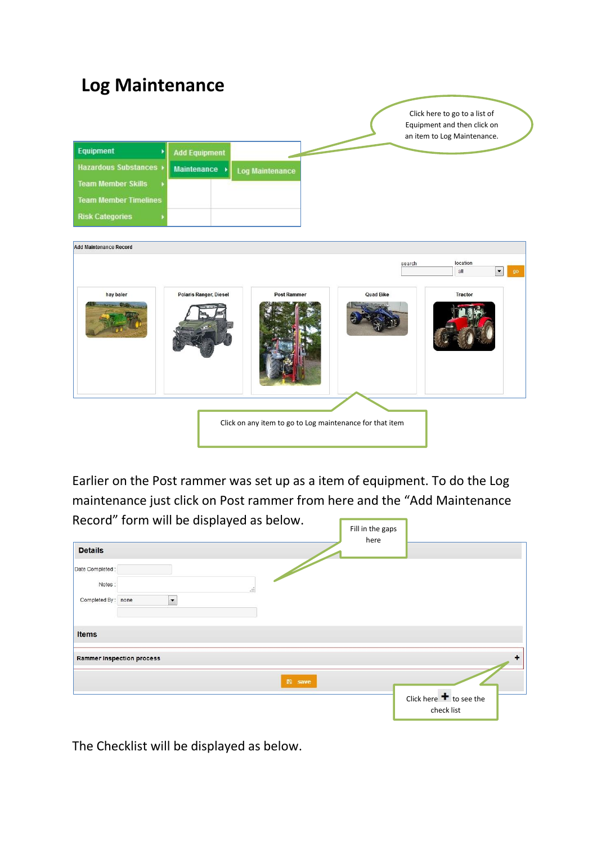#### **Log Maintenance** Click here to go to a list of Equipment and then click on an item to Log Maintenance. Equipment **Add Equipment Hazardous Substances** Maintenance **Log Maintenance Team Member Skills Team Member Timelines Risk Categories** Add Maintenance Record location search  $\boxed{\bullet}$  go  $all$ Polaris Ranger, Diesel Post Rammer **Quad Rike** hay baler Tractor Click on any item to go to Log maintenance for that item

Earlier on the Post rammer was set up as a item of equipment. To do the Log maintenance just click on Post rammer from here and the "Add Maintenance

| Record" form will be displayed as below.                                           | Fill in the gaps<br>here         |
|------------------------------------------------------------------------------------|----------------------------------|
| <b>Details</b>                                                                     |                                  |
| Date Completed:<br>Notes:<br>.11<br>$\overline{\phantom{a}}$<br>Completed By: none |                                  |
| <b>Items</b>                                                                       |                                  |
| <b>Rammer Inspection process</b>                                                   | ÷                                |
| <b>图</b> save                                                                      | Click here $\bigstar$ to see the |
|                                                                                    | check list                       |

The Checklist will be displayed as below.